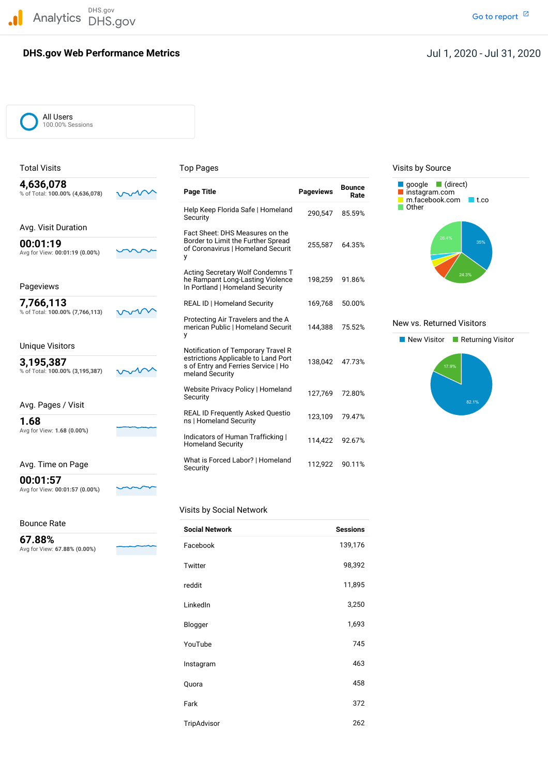DHS.gov Analytics DHS.gov and the contract of the contract of the contract of the contract of the contract of the contract of  $\mathbb Z$ 

### **DHS.gov Web Performance Metrics**

### Jul 1, 2020 - Jul 31, 2020

All Users 100.00% Sessions

| 4,636,078<br>% of Total: 100.00% (4,636,078) | Page Title                                                                                                                          | <b>Pageviews</b> | <b>Bounce</b><br>Rate | google $\Box$ (direct)<br>instagram.com<br>m.facebook.com |
|----------------------------------------------|-------------------------------------------------------------------------------------------------------------------------------------|------------------|-----------------------|-----------------------------------------------------------|
|                                              | Help Keep Florida Safe   Homeland<br>Security                                                                                       | 290.547          | 85.59%                | Other                                                     |
| Avg. Visit Duration                          | Fact Sheet: DHS Measures on the                                                                                                     |                  |                       |                                                           |
| 00:01:19<br>Avg for View: 00:01:19 (0.00%)   | Border to Limit the Further Spread<br>of Coronavirus   Homeland Securit<br>у                                                        | 255,587          | 64.35%                | 26.4%                                                     |
| Pageviews                                    | Acting Secretary Wolf Condemns T<br>he Rampant Long-Lasting Violence<br>In Portland   Homeland Security                             | 198,259          | 91.86%                | 24.3                                                      |
| 7,766,113                                    | <b>REAL ID   Homeland Security</b>                                                                                                  | 169,768          | 50.00%                |                                                           |
| % of Total: 100.00% (7,766,113)              | Protecting Air Travelers and the A<br>merican Public   Homeland Securit<br>у                                                        | 144,388          | 75.52%                | New vs. Returned Vis                                      |
| <b>Unique Visitors</b>                       |                                                                                                                                     |                  |                       | New Visitor<br>IIRe                                       |
| 3,195,387<br>% of Total: 100.00% (3,195,387) | Notification of Temporary Travel R<br>estrictions Applicable to Land Port<br>s of Entry and Ferries Service   Ho<br>meland Security | 138,042          | 47.73%                | 17.9%                                                     |
|                                              | Website Privacy Policy   Homeland<br>Security                                                                                       | 127,769          | 72.80%                |                                                           |
| Avg. Pages / Visit                           | <b>REAL ID Frequently Asked Questio</b>                                                                                             | 123,109          | 79.47%                |                                                           |
| 1.68<br>Avg for View: 1.68 (0.00%)           | ns   Homeland Security                                                                                                              |                  |                       |                                                           |
|                                              | Indicators of Human Trafficking  <br><b>Homeland Security</b>                                                                       | 114,422          | 92.67%                |                                                           |
| Avg. Time on Page                            | What is Forced Labor?   Homeland<br>Security                                                                                        | 112.922          | 90.11%                |                                                           |

 $\checkmark$ 

### Total Visits **Top Pages** Top Pages Top Pages Visits by Source



#### New vs. Returned Visitors



**00:01:57**

Avg for View: **00:01:57 (0.00%)**

#### Bounce Rate

#### Visits by Social Network

| Bounce Rate                            | <b>Social Network</b> | <b>Sessions</b> |
|----------------------------------------|-----------------------|-----------------|
| 67.88%<br>Avg for View: 67.88% (0.00%) | Facebook              | 139,176         |
|                                        | Twitter               | 98,392          |
|                                        | reddit                | 11,895          |
|                                        | LinkedIn              | 3,250           |
|                                        | Blogger               | 1,693           |
|                                        | YouTube               | 745             |
|                                        | Instagram             | 463             |
|                                        | Quora                 | 458             |
|                                        | Fark                  | 372             |
|                                        | TripAdvisor           | 262             |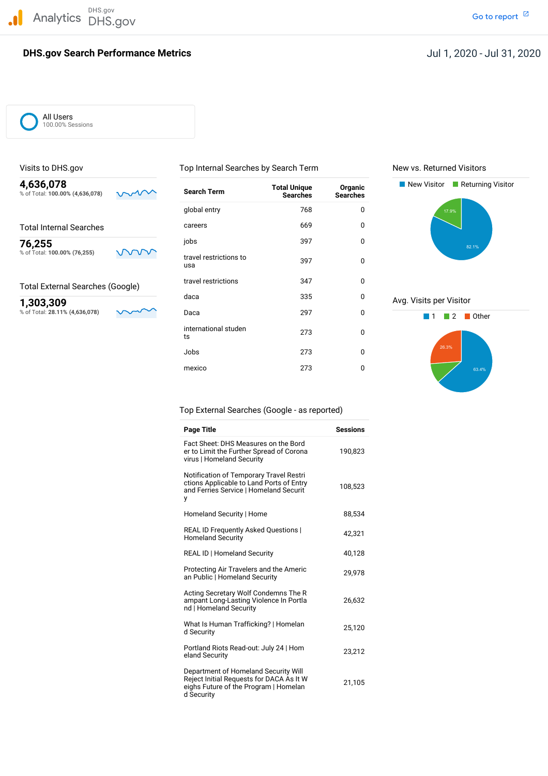DHS.gov Analytics DHS.gov and the contract of the contract of the contract of the contract of the contract of the contract of  $\mathbb Z$ 

#### **DHS.gov Search Performance Metrics**

Go to report<sup>[2]</sup>

All Users 100.00% Sessions

% of Total: 100.00% (4,636,078)

% of Total: 100.00% (76,255)

% of Total: 28.11% (4,636,078)

Visits to DHS.gov Top Internal Searches by Search Term New vs. Returned Visitors

Total Internal Searches **Careers** Careers 669 0 jobs <sup>397</sup> <sup>0</sup> **76,255**

usa

travel restrictions <sup>347</sup> <sup>0</sup> Total External Searches (Google)

global entry 1768 and 1890 and 1890 and 1890 and 1890 and 1890 and 1890 and 1890 and 1890 and 1890 and 1890 and 1890 and 1890 and 1890 and 1890 and 1890 and 1890 and 1890 and 1890 and 1890 and 1890 and 1890 and 1890 and 18

 $\frac{1}{2}$  travel restrictions to 397 0

international studen 273 0

Jobs 273 0 mexico 273 0



# daca 335 0 Avg. Visits per Visitor<br>  $\frac{1,303,309}{80}$  Avg. Visits per Visitor<br>  $\frac{8,61 \text{ total: } 28.11\% (4,636,078)}{1,1,1,2,1}$



Top External Searches (Google - as reported)

| <b>Page Title</b>                                                                                                                       | <b>Sessions</b> |
|-----------------------------------------------------------------------------------------------------------------------------------------|-----------------|
| Fact Sheet: DHS Measures on the Bord<br>er to Limit the Further Spread of Corona<br>virus   Homeland Security                           | 190,823         |
| Notification of Temporary Travel Restri<br>ctions Applicable to Land Ports of Entry<br>and Ferries Service   Homeland Securit<br>у      | 108,523         |
| Homeland Security   Home                                                                                                                | 88.534          |
| <b>REAL ID Frequently Asked Questions  </b><br><b>Homeland Security</b>                                                                 | 42,321          |
| <b>REAL ID   Homeland Security</b>                                                                                                      | 40,128          |
| Protecting Air Travelers and the Americ<br>an Public   Homeland Security                                                                | 29.978          |
| Acting Secretary Wolf Condemns The R<br>ampant Long-Lasting Violence In Portla<br>nd   Homeland Security                                | 26,632          |
| What Is Human Trafficking?   Homelan<br>d Security                                                                                      | 25,120          |
| Portland Riots Read-out: July 24   Hom<br>eland Security                                                                                | 23.212          |
| Department of Homeland Security Will<br>Reject Initial Requests for DACA As It W<br>eighs Future of the Program   Homelan<br>d Security | 21,105          |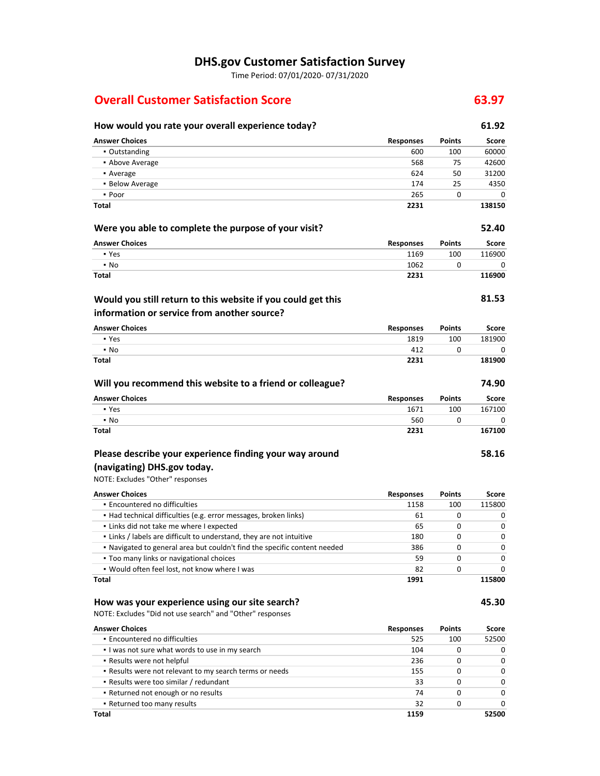### **DHS.gov Customer Satisfaction Survey**

Time Period: 07/01/2020‐ 07/31/2020

### **Overall Customer Satisfaction Score 63.97**

## **How would you rate your overall experience today? 61.92**

| aid you rate your overall experience today.                               |                  |               |              |
|---------------------------------------------------------------------------|------------------|---------------|--------------|
| <b>Answer Choices</b>                                                     | <b>Responses</b> | <b>Points</b> | Score        |
| • Outstanding                                                             | 600              | 100           | 60000        |
| • Above Average                                                           | 568              | 75            | 42600        |
| • Average                                                                 | 624              | 50            | 31200        |
| • Below Average                                                           | 174              | 25            | 4350         |
| • Poor                                                                    | 265              | 0             | 0            |
| Total                                                                     | 2231             |               | 138150       |
| Were you able to complete the purpose of your visit?                      |                  |               | 52.40        |
| <b>Answer Choices</b>                                                     | Responses        | <b>Points</b> | <b>Score</b> |
| • Yes                                                                     | 1169             | 100           | 116900       |
| $\cdot$ No                                                                | 1062             | 0             | 0            |
| Total                                                                     | 2231             |               | 116900       |
| Would you still return to this website if you could get this              |                  |               | 81.53        |
| information or service from another source?                               |                  |               |              |
| <b>Answer Choices</b>                                                     | <b>Responses</b> | <b>Points</b> | Score        |
| • Yes                                                                     | 1819             | 100           | 181900       |
| $\cdot$ No                                                                | 412              | 0             | 0            |
| <b>Total</b>                                                              | 2231             |               | 181900       |
| Will you recommend this website to a friend or colleague?                 |                  |               | 74.90        |
| <b>Answer Choices</b>                                                     | <b>Responses</b> | <b>Points</b> | Score        |
| • Yes                                                                     | 1671             | 100           | 167100       |
| $\cdot$ No                                                                | 560              | 0             | 0            |
| Total                                                                     | 2231             |               | 167100       |
| Please describe your experience finding your way around                   |                  |               | 58.16        |
| (navigating) DHS.gov today.                                               |                  |               |              |
| NOTE: Excludes "Other" responses                                          |                  |               |              |
| <b>Answer Choices</b>                                                     | Responses        | <b>Points</b> | Score        |
| • Encountered no difficulties                                             | 1158             | 100           | 115800       |
| • Had technical difficulties (e.g. error messages, broken links)          | 61               | 0             | 0            |
| . Links did not take me where I expected                                  | 65               | 0             | 0            |
| . Links / labels are difficult to understand, they are not intuitive      | 180              | 0             | 0            |
| . Navigated to general area but couldn't find the specific content needed | 386              | 0             | 0            |
| . Too many links or navigational choices                                  | 59               | 0             | 0            |
| . Would often feel lost, not know where I was                             | 82               | U             |              |
| Total                                                                     | 1991             |               | 115800       |
| How was your experience using our site search?                            |                  |               | 45.30        |
| NOTE: Excludes "Did not use search" and "Other" responses                 |                  |               |              |
| <b>Answer Choices</b>                                                     | <b>Responses</b> | <b>Points</b> | Score        |
| · Encountered no difficulties                                             | 525              | 100           | 52500        |
| . I was not sure what words to use in my search                           | 104              | 0             | 0            |
| . Results were not helpful                                                | 236              | 0             | 0            |
| . Results were not relevant to my search terms or needs                   | 155              | 0             | 0            |

▪ Results were too similar / redundant 33 0 0 **• Returned not enough or no results 1999 1999 1999 1999 1999 1999 1999 1999 1999 1999 1999 1999 1999 1999 1999 1999 1999 1999 1999 1999 1999 1999 1999 1999 1999 1999 199** ▪ Returned too many results 32 0 0

**Total 1159 52500**